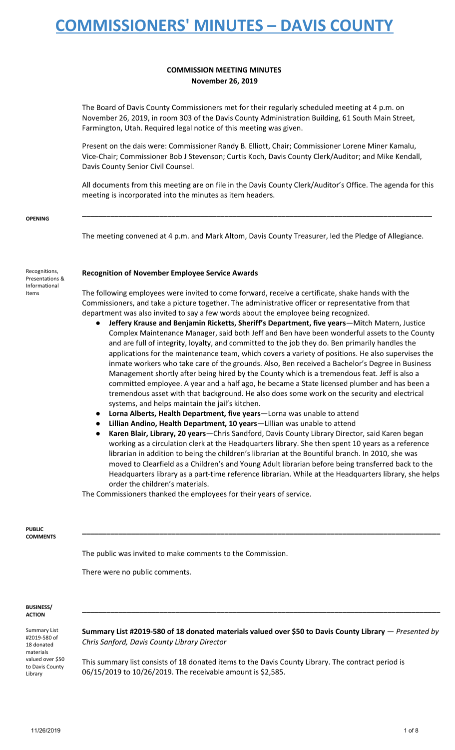#### **COMMISSION MEETING MINUTES November 26, 2019**

The Board of Davis County Commissioners met for their regularly scheduled meeting at 4 p.m. on November 26, 2019, in room 303 of the Davis County Administration Building, 61 South Main Street, Farmington, Utah. Required legal notice of this meeting was given.

Present on the dais were: Commissioner Randy B. Elliott, Chair; Commissioner Lorene Miner Kamalu, Vice-Chair; Commissioner Bob J Stevenson; Curtis Koch, Davis County Clerk/Auditor; and Mike Kendall, Davis County Senior Civil Counsel.

All documents from this meeting are on file in the Davis County Clerk/Auditor's Office. The agenda for this meeting is incorporated into the minutes as item headers.

**\_\_\_\_\_\_\_\_\_\_\_\_\_\_\_\_\_\_\_\_\_\_\_\_\_\_\_\_\_\_\_\_\_\_\_\_\_\_\_\_\_\_\_\_\_\_\_\_\_\_\_\_\_\_\_\_\_\_\_\_\_\_\_\_\_\_\_\_\_\_\_\_\_\_\_\_\_\_\_\_\_\_\_\_\_\_**

**OPENING**

The meeting convened at 4 p.m. and Mark Altom, Davis County Treasurer, led the Pledge of Allegiance.

| Recognitions,   |
|-----------------|
| Presentations & |
| Informational   |
| Items           |

#### **Recognition of November Employee Service Awards**

The following employees were invited to come forward, receive a certificate, shake hands with the Commissioners, and take a picture together. The administrative officer or representative from that department was also invited to say a few words about the employee being recognized.

- **Jeffery Krause and Benjamin Ricketts, Sheriff's Department, five years**—Mitch Matern, Justice Complex Maintenance Manager, said both Jeff and Ben have been wonderful assets to the County and are full of integrity, loyalty, and committed to the job they do. Ben primarily handles the applications for the maintenance team, which covers a variety of positions. He also supervises the inmate workers who take care of the grounds. Also, Ben received a Bachelor's Degree in Business Management shortly after being hired by the County which is a tremendous feat. Jeff is also a committed employee. A year and a half ago, he became a State licensed plumber and has been a tremendous asset with that background. He also does some work on the security and electrical systems, and helps maintain the jail's kitchen.
- **Lorna Alberts, Health Department, five years**—Lorna was unable to attend
- **Lillian Andino, Health Department, 10 years**—Lillian was unable to attend
- **Karen Blair, Library, 20 years**—Chris Sandford, Davis County Library Director, said Karen began working as a circulation clerk at the Headquarters library. She then spent 10 years as a reference librarian in addition to being the children's librarian at the Bountiful branch. In 2010, she was moved to Clearfield as a Children's and Young Adult librarian before being transferred back to the Headquarters library as a part-time reference librarian. While at the Headquarters library, she helps order the children's materials.

**\_\_\_\_\_\_\_\_\_\_\_\_\_\_\_\_\_\_\_\_\_\_\_\_\_\_\_\_\_\_\_\_\_\_\_\_\_\_\_\_\_\_\_\_\_\_\_\_\_\_\_\_\_\_\_\_\_\_\_\_\_\_\_\_\_\_\_\_\_\_\_\_\_\_\_\_\_\_\_\_\_\_\_\_\_\_\_\_**

The Commissioners thanked the employees for their years of service.

**PUBLIC COMMENTS**

The public was invited to make comments to the Commission.

There were no public comments.

#### **BUSINESS/ ACTION**

Summary List #2019-580 of 18 donated materials valued over \$50 to Davis County Library

**Summary List #2019-580 of 18 donated materials valued over \$50 to Davis County Library** — *Presented by Chris Sanford, Davis County Library Director*

**\_\_\_\_\_\_\_\_\_\_\_\_\_\_\_\_\_\_\_\_\_\_\_\_\_\_\_\_\_\_\_\_\_\_\_\_\_\_\_\_\_\_\_\_\_\_\_\_\_\_\_\_\_\_\_\_\_\_\_\_\_\_\_\_\_\_\_\_\_\_\_\_\_\_\_\_\_\_\_\_\_\_\_\_\_\_\_\_**

This summary list consists of 18 donated items to the Davis County Library. The contract period is 06/15/2019 to 10/26/2019. The receivable amount is \$2,585.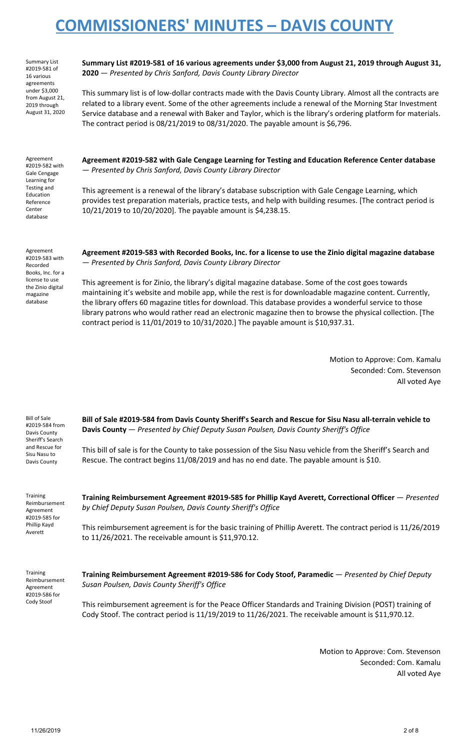Summary List #2019-581 of 16 various agreements under \$3,000 from August 21, 2019 through August 31, 2020 **Summary List #2019-581 of 16 various agreements under \$3,000 from August 21, 2019 through August 31, 2020** — *Presented by Chris Sanford, Davis County Library Director*

This summary list is of low-dollar contracts made with the Davis County Library. Almost all the contracts are related to a library event. Some of the other agreements include a renewal of the Morning Star Investment Service database and a renewal with Baker and Taylor, which is the library's ordering platform for materials. The contract period is 08/21/2019 to 08/31/2020. The payable amount is \$6,796.

Agreement #2019-582 with Gale Cengage Learning for Testing and Education Reference Center database

**Agreement #2019-582 with Gale Cengage Learning for Testing and Education Reference Center database** — *Presented by Chris Sanford, Davis County Library Director*

This agreement is a renewal of the library's database subscription with Gale Cengage Learning, which provides test preparation materials, practice tests, and help with building resumes. [The contract period is 10/21/2019 to 10/20/2020]. The payable amount is \$4,238.15.

Agreement #2019-583 with Recorded Books, Inc. for a license to use the Zinio digital magazine database

**Agreement #2019-583 with Recorded Books, Inc. for a license to use the Zinio digital magazine database** — *Presented by Chris Sanford, Davis County Library Director*

This agreement is for Zinio, the library's digital magazine database. Some of the cost goes towards maintaining it's website and mobile app, while the rest is for downloadable magazine content. Currently, the library offers 60 magazine titles for download. This database provides a wonderful service to those library patrons who would rather read an electronic magazine then to browse the physical collection. [The contract period is 11/01/2019 to 10/31/2020.] The payable amount is \$10,937.31.

> Motion to Approve: Com. Kamalu Seconded: Com. Stevenson All voted Aye

Bill of Sale #2019-584 from Davis County Sheriff's Search and Rescue for Sisu Nasu to Davis County

**Bill of Sale #2019-584 from Davis County Sheriff's Search and Rescue for Sisu Nasu all-terrain vehicle to Davis County** — *Presented by Chief Deputy Susan Poulsen, Davis County Sheriff's Office*

This bill of sale is for the County to take possession of the Sisu Nasu vehicle from the Sheriff's Search and Rescue. The contract begins 11/08/2019 and has no end date. The payable amount is \$10.

**Training** Reimbursement Agreement #2019-585 for Phillip Kayd Averett

**Training Reimbursement Agreement #2019-585 for Phillip Kayd Averett, Correctional Officer** — *Presented by Chief Deputy Susan Poulsen, Davis County Sheriff's Office*

This reimbursement agreement is for the basic training of Phillip Averett. The contract period is 11/26/2019 to 11/26/2021. The receivable amount is \$11,970.12.

Training Reimbursement Agreement #2019-586 for Cody Stoof

**Training Reimbursement Agreement #2019-586 for Cody Stoof, Paramedic** — *Presented by Chief Deputy Susan Poulsen, Davis County Sheriff's Office*

This reimbursement agreement is for the Peace Officer Standards and Training Division (POST) training of Cody Stoof. The contract period is 11/19/2019 to 11/26/2021. The receivable amount is \$11,970.12.

> Motion to Approve: Com. Stevenson Seconded: Com. Kamalu All voted Aye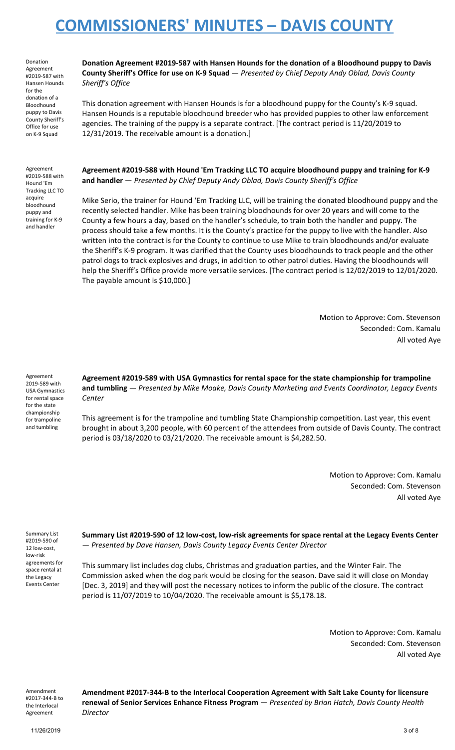Donation Agreement #2019-587 with Hansen Hounds for the donation of a Bloodhound puppy to Davis County Sheriff's Office for use on K-9 Squad

**Donation Agreement #2019-587 with Hansen Hounds for the donation of a Bloodhound puppy to Davis County Sheriff's Office for use on K-9 Squad** — *Presented by Chief Deputy Andy Oblad, Davis County Sheriff's Office*

This donation agreement with Hansen Hounds is for a bloodhound puppy for the County's K-9 squad. Hansen Hounds is a reputable bloodhound breeder who has provided puppies to other law enforcement agencies. The training of the puppy is a separate contract. [The contract period is 11/20/2019 to 12/31/2019. The receivable amount is a donation.]

Agreement #2019-588 with Hound 'Em Tracking LLC TO acquire bloodhound puppy and training for K-9 and handler

**Agreement #2019-588 with Hound 'Em Tracking LLC TO acquire bloodhound puppy and training for K-9 and handler** — *Presented by Chief Deputy Andy Oblad, Davis County Sheriff's Office*

Mike Serio, the trainer for Hound 'Em Tracking LLC, will be training the donated bloodhound puppy and the recently selected handler. Mike has been training bloodhounds for over 20 years and will come to the County a few hours a day, based on the handler's schedule, to train both the handler and puppy. The process should take a few months. It is the County's practice for the puppy to live with the handler. Also written into the contract is for the County to continue to use Mike to train bloodhounds and/or evaluate the Sheriff's K-9 program. It was clarified that the County uses bloodhounds to track people and the other patrol dogs to track explosives and drugs, in addition to other patrol duties. Having the bloodhounds will help the Sheriff's Office provide more versatile services. [The contract period is 12/02/2019 to 12/01/2020. The payable amount is \$10,000.]

> Motion to Approve: Com. Stevenson Seconded: Com. Kamalu All voted Aye

Agreement 2019-589 with USA Gymnastics for rental space for the state championship for trampoline and tumbling

**Agreement #2019-589 with USA Gymnastics for rental space for the state championship for trampoline and tumbling** — *Presented by Mike Moake, Davis County Marketing and Events Coordinator, Legacy Events Center*

This agreement is for the trampoline and tumbling State Championship competition. Last year, this event brought in about 3,200 people, with 60 percent of the attendees from outside of Davis County. The contract period is 03/18/2020 to 03/21/2020. The receivable amount is \$4,282.50.

> Motion to Approve: Com. Kamalu Seconded: Com. Stevenson All voted Aye

Summary List #2019-590 of 12 low-cost, low-risk agreements for space rental at the Legacy Events Center

**Summary List #2019-590 of 12 low-cost, low-risk agreements for space rental at the Legacy Events Center** — *Presented by Dave Hansen, Davis County Legacy Events Center Director*

This summary list includes dog clubs, Christmas and graduation parties, and the Winter Fair. The Commission asked when the dog park would be closing for the season. Dave said it will close on Monday [Dec. 3, 2019] and they will post the necessary notices to inform the public of the closure. The contract period is 11/07/2019 to 10/04/2020. The receivable amount is \$5,178.18.

> Motion to Approve: Com. Kamalu Seconded: Com. Stevenson All voted Aye

Amendment #2017-344-B to the Interlocal Agreement

**Amendment #2017-344-B to the Interlocal Cooperation Agreement with Salt Lake County for licensure renewal of Senior Services Enhance Fitness Program** — *Presented by Brian Hatch, Davis County Health Director*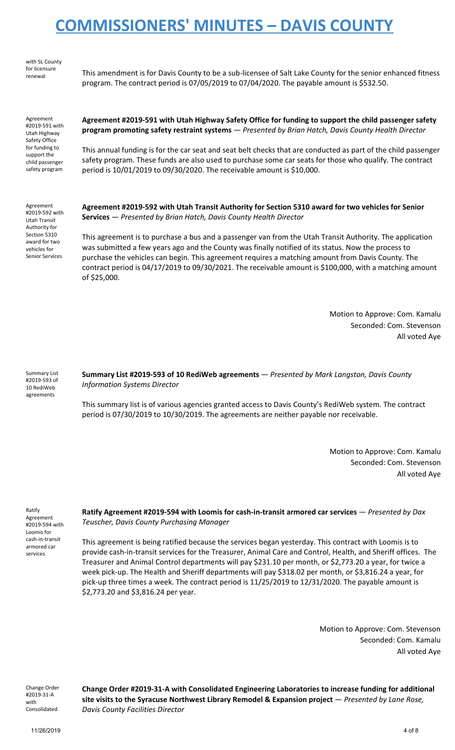with SL County for licensure

renewal This amendment is for Davis County to be a sub-licensee of Salt Lake County for the senior enhanced fitness program. The contract period is 07/05/2019 to 07/04/2020. The payable amount is \$532.50.

Agreement #2019-591 with Utah Highway Safety Office for funding to support the child passenger safety program

**Agreement #2019-591 with Utah Highway Safety Office for funding to support the child passenger safety program promoting safety restraint systems** — *Presented by Brian Hatch, Davis County Health Director*

This annual funding is for the car seat and seat belt checks that are conducted as part of the child passenger safety program. These funds are also used to purchase some car seats for those who qualify. The contract period is 10/01/2019 to 09/30/2020. The receivable amount is \$10,000.

Agreement #2019-592 with Utah Transit Authority for Section 5310 award for two vehicles for Senior Services

**Agreement #2019-592 with Utah Transit Authority for Section 5310 award for two vehicles for Senior Services** — *Presented by Brian Hatch, Davis County Health Director*

This agreement is to purchase a bus and a passenger van from the Utah Transit Authority. The application was submitted a few years ago and the County was finally notified of its status. Now the process to purchase the vehicles can begin. This agreement requires a matching amount from Davis County. The contract period is 04/17/2019 to 09/30/2021. The receivable amount is \$100,000, with a matching amount of \$25,000.

> Motion to Approve: Com. Kamalu Seconded: Com. Stevenson All voted Aye

Summary List #2019-593 of 10 RediWeb agreements

**Summary List #2019-593 of 10 RediWeb agreements** — *Presented by Mark Langston, Davis County Information Systems Director*

This summary list is of various agencies granted access to Davis County's RediWeb system. The contract period is 07/30/2019 to 10/30/2019. The agreements are neither payable nor receivable.

> Motion to Approve: Com. Kamalu Seconded: Com. Stevenson All voted Aye

Ratify Agreement #2019-594 with Loomis for cash-in-transit armored car services

**Ratify Agreement #2019-594 with Loomis for cash-in-transit armored car services** — *Presented by Dax Teuscher, Davis County Purchasing Manager*

This agreement is being ratified because the services began yesterday. This contract with Loomis is to provide cash-in-transit services for the Treasurer, Animal Care and Control, Health, and Sheriff offices. The Treasurer and Animal Control departments will pay \$231.10 per month, or \$2,773.20 a year, for twice a week pick-up. The Health and Sheriff departments will pay \$318.02 per month, or \$3,816.24 a year, for pick-up three times a week. The contract period is 11/25/2019 to 12/31/2020. The payable amount is \$2,773.20 and \$3,816.24 per year.

> Motion to Approve: Com. Stevenson Seconded: Com. Kamalu All voted Aye

Change Order #2019-31-A with Consolidated

**Change Order #2019-31-A with Consolidated Engineering Laboratories to increase funding for additional site visits to the Syracuse Northwest Library Remodel & Expansion project** — *Presented by Lane Rose, Davis County Facilities Director*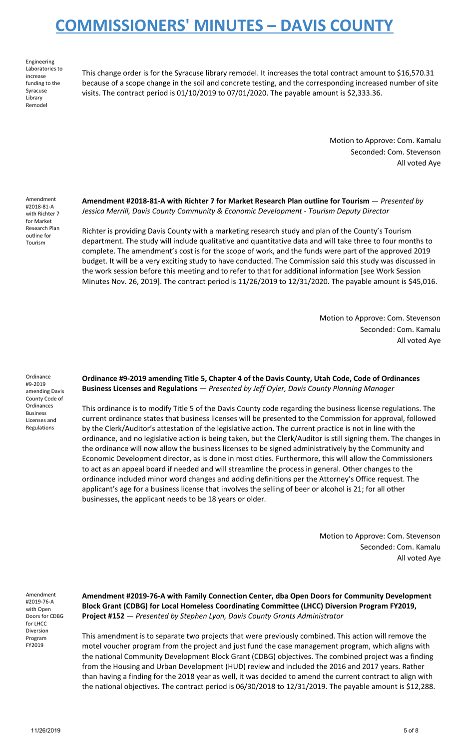Engineering Laboratories to increase funding to the Syracuse Library Remodel

This change order is for the Syracuse library remodel. It increases the total contract amount to \$16,570.31 because of a scope change in the soil and concrete testing, and the corresponding increased number of site visits. The contract period is 01/10/2019 to 07/01/2020. The payable amount is \$2,333.36.

> Motion to Approve: Com. Kamalu Seconded: Com. Stevenson All voted Aye

Amendment #2018-81-A with Richter 7 for Market Research Plan outline for Tourism

**Amendment #2018-81-A with Richter 7 for Market Research Plan outline for Tourism** — *Presented by Jessica Merrill, Davis County Community & Economic Development - Tourism Deputy Director*

Richter is providing Davis County with a marketing research study and plan of the County's Tourism department. The study will include qualitative and quantitative data and will take three to four months to complete. The amendment's cost is for the scope of work, and the funds were part of the approved 2019 budget. It will be a very exciting study to have conducted. The Commission said this study was discussed in the work session before this meeting and to refer to that for additional information [see Work Session Minutes Nov. 26, 2019]. The contract period is 11/26/2019 to 12/31/2020. The payable amount is \$45,016.

> Motion to Approve: Com. Stevenson Seconded: Com. Kamalu All voted Aye

Ordinance #9-2019 amending Davis County Code of **Ordinances** Business Licenses and Regulations

**Ordinance #9-2019 amending Title 5, Chapter 4 of the Davis County, Utah Code, Code of Ordinances Business Licenses and Regulations** — *Presented by Jeff Oyler, Davis County Planning Manager*

This ordinance is to modify Title 5 of the Davis County code regarding the business license regulations. The current ordinance states that business licenses will be presented to the Commission for approval, followed by the Clerk/Auditor's attestation of the legislative action. The current practice is not in line with the ordinance, and no legislative action is being taken, but the Clerk/Auditor is still signing them. The changes in the ordinance will now allow the business licenses to be signed administratively by the Community and Economic Development director, as is done in most cities. Furthermore, this will allow the Commissioners to act as an appeal board if needed and will streamline the process in general. Other changes to the ordinance included minor word changes and adding definitions per the Attorney's Office request. The applicant's age for a business license that involves the selling of beer or alcohol is 21; for all other businesses, the applicant needs to be 18 years or older.

> Motion to Approve: Com. Stevenson Seconded: Com. Kamalu All voted Aye

Amendment #2019-76-A with Open Doors for CDBG for LHCC Diversion Program FY2019

**Amendment #2019-76-A with Family Connection Center, dba Open Doors for Community Development Block Grant (CDBG) for Local Homeless Coordinating Committee (LHCC) Diversion Program FY2019, Project #152** — *Presented by Stephen Lyon, Davis County Grants Administrator*

This amendment is to separate two projects that were previously combined. This action will remove the motel voucher program from the project and just fund the case management program, which aligns with the national Community Development Block Grant (CDBG) objectives. The combined project was a finding from the Housing and Urban Development (HUD) review and included the 2016 and 2017 years. Rather than having a finding for the 2018 year as well, it was decided to amend the current contract to align with the national objectives. The contract period is 06/30/2018 to 12/31/2019. The payable amount is \$12,288.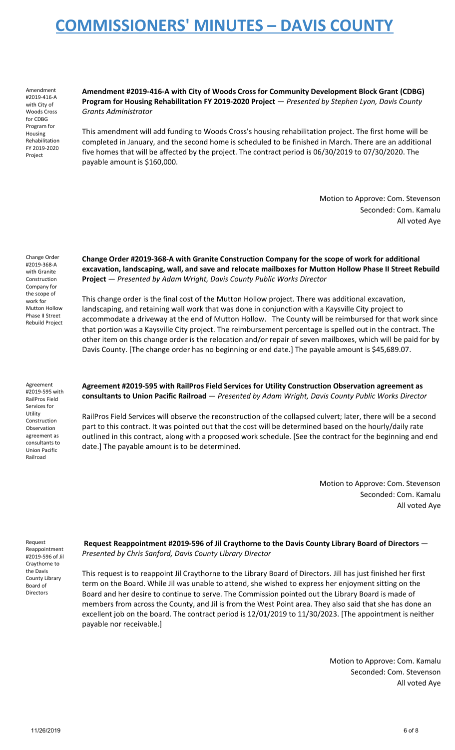Amendment #2019-416-A with City of Woods Cross for CDBG Program for Housing Rehabilitation FY 2019-2020 Project

**Amendment #2019-416-A with City of Woods Cross for Community Development Block Grant (CDBG) Program for Housing Rehabilitation FY 2019-2020 Project** — *Presented by Stephen Lyon, Davis County Grants Administrator*

This amendment will add funding to Woods Cross's housing rehabilitation project. The first home will be completed in January, and the second home is scheduled to be finished in March. There are an additional five homes that will be affected by the project. The contract period is 06/30/2019 to 07/30/2020. The payable amount is \$160,000.

> Motion to Approve: Com. Stevenson Seconded: Com. Kamalu All voted Aye

Change Order #2019-368-A with Granite Construction Company for the scope of work for Mutton Hollow Phase II Street Rebuild Project

**Change Order #2019-368-A with Granite Construction Company for the scope of work for additional excavation, landscaping, wall, and save and relocate mailboxes for Mutton Hollow Phase II Street Rebuild Project** — *Presented by Adam Wright, Davis County Public Works Director*

This change order is the final cost of the Mutton Hollow project. There was additional excavation, landscaping, and retaining wall work that was done in conjunction with a Kaysville City project to accommodate a driveway at the end of Mutton Hollow. The County will be reimbursed for that work since that portion was a Kaysville City project. The reimbursement percentage is spelled out in the contract. The other item on this change order is the relocation and/or repair of seven mailboxes, which will be paid for by Davis County. [The change order has no beginning or end date.] The payable amount is \$45,689.07.

Agreement #2019-595 with RailPros Field Services for Utility **Construction** Observation agreement as consultants to Union Pacific Railroad

**Agreement #2019-595 with RailPros Field Services for Utility Construction Observation agreement as consultants to Union Pacific Railroad** — *Presented by Adam Wright, Davis County Public Works Director*

RailPros Field Services will observe the reconstruction of the collapsed culvert; later, there will be a second part to this contract. It was pointed out that the cost will be determined based on the hourly/daily rate outlined in this contract, along with a proposed work schedule. [See the contract for the beginning and end date.] The payable amount is to be determined.

> Motion to Approve: Com. Stevenson Seconded: Com. Kamalu All voted Aye

Request Reappointment #2019-596 of Jil Craythorne to the Davis County Library Board of Directors

**Request Reappointment #2019-596 of Jil Craythorne to the Davis County Library Board of Directors** — *Presented by Chris Sanford, Davis County Library Director*

This request is to reappoint Jil Craythorne to the Library Board of Directors. Jill has just finished her first term on the Board. While Jil was unable to attend, she wished to express her enjoyment sitting on the Board and her desire to continue to serve. The Commission pointed out the Library Board is made of members from across the County, and Jil is from the West Point area. They also said that she has done an excellent job on the board. The contract period is 12/01/2019 to 11/30/2023. [The appointment is neither payable nor receivable.]

> Motion to Approve: Com. Kamalu Seconded: Com. Stevenson All voted Aye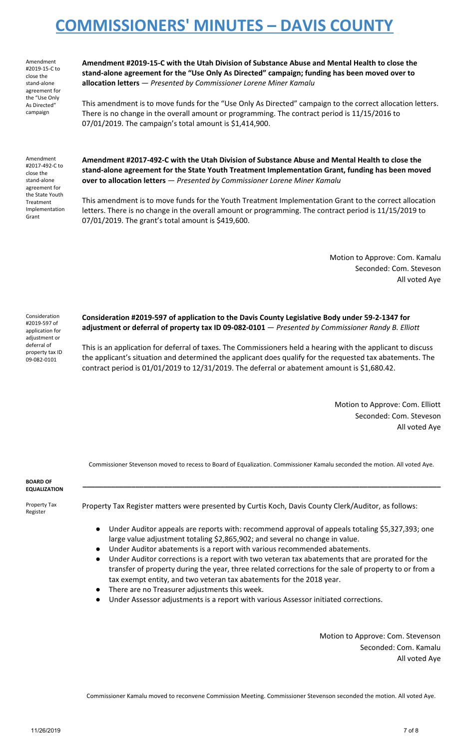Amendment #2019-15-C to close the stand-alone agreement for the "Use Only As Directed" campaign

**Amendment #2019-15-C with the Utah Division of Substance Abuse and Mental Health to close the stand-alone agreement for the "Use Only As Directed" campaign; funding has been moved over to allocation letters** — *Presented by Commissioner Lorene Miner Kamalu*

This amendment is to move funds for the "Use Only As Directed" campaign to the correct allocation letters. There is no change in the overall amount or programming. The contract period is 11/15/2016 to 07/01/2019. The campaign's total amount is \$1,414,900.

Amendment #2017-492-C to close the stand-alone agreement for the State Youth Treatment Implementation Grant

**Amendment #2017-492-C with the Utah Division of Substance Abuse and Mental Health to close the stand-alone agreement for the State Youth Treatment Implementation Grant, funding has been moved over to allocation letters** — *Presented by Commissioner Lorene Miner Kamalu*

This amendment is to move funds for the Youth Treatment Implementation Grant to the correct allocation letters. There is no change in the overall amount or programming. The contract period is 11/15/2019 to 07/01/2019. The grant's total amount is \$419,600.

> Motion to Approve: Com. Kamalu Seconded: Com. Steveson All voted Aye

Consideration #2019-597 of application for adjustment or deferral of property tax ID 09-082-0101

**Consideration #2019-597 of application to the Davis County Legislative Body under 59-2-1347 for adjustment or deferral of property tax ID 09-082-0101** — *Presented by Commissioner Randy B. Elliott*

This is an application for deferral of taxes. The Commissioners held a hearing with the applicant to discuss the applicant's situation and determined the applicant does qualify for the requested tax abatements. The contract period is 01/01/2019 to 12/31/2019. The deferral or abatement amount is \$1,680.42.

> Motion to Approve: Com. Elliott Seconded: Com. Steveson All voted Aye

Commissioner Stevenson moved to recess to Board of Equalization. Commissioner Kamalu seconded the motion. All voted Aye.

**\_\_\_\_\_\_\_\_\_\_\_\_\_\_\_\_\_\_\_\_\_\_\_\_\_\_\_\_\_\_\_\_\_\_\_\_\_\_\_\_\_\_\_\_\_\_\_\_\_\_\_\_\_\_\_\_\_\_\_\_\_\_\_\_\_\_\_\_\_\_\_\_\_\_\_\_\_\_\_\_\_\_\_\_\_\_\_\_**

**BOARD OF EQUALIZATION**

Property Tax Register

Property Tax Register matters were presented by Curtis Koch, Davis County Clerk/Auditor, as follows:

- Under Auditor appeals are reports with: recommend approval of appeals totaling \$5,327,393; one large value adjustment totaling \$2,865,902; and several no change in value.
- Under Auditor abatements is a report with various recommended abatements.
- Under Auditor corrections is a report with two veteran tax abatements that are prorated for the transfer of property during the year, three related corrections for the sale of property to or from a tax exempt entity, and two veteran tax abatements for the 2018 year.
- There are no Treasurer adjustments this week.
- Under Assessor adjustments is a report with various Assessor initiated corrections.

Motion to Approve: Com. Stevenson Seconded: Com. Kamalu All voted Aye

Commissioner Kamalu moved to reconvene Commission Meeting. Commissioner Stevenson seconded the motion. All voted Aye.